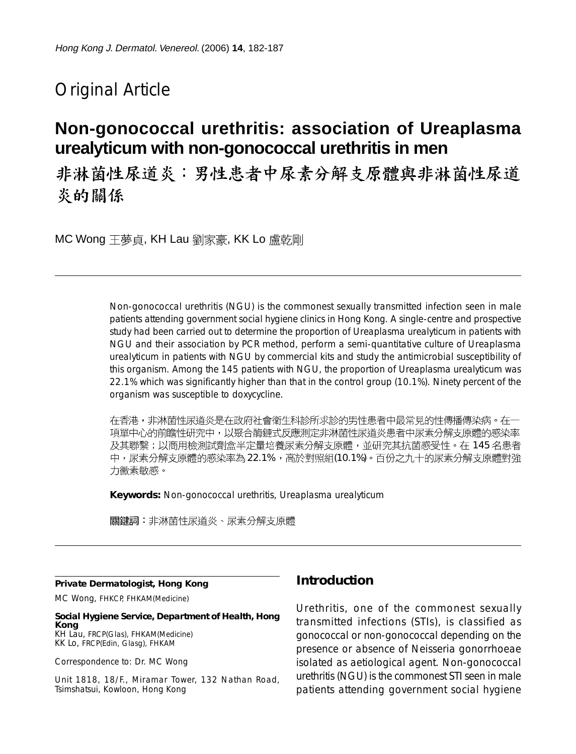# Original Article

# **Non-gonococcal urethritis: association of Ureaplasma urealyticum with non-gonococcal urethritis in men**

非淋菌性尿道炎:男性患者中尿素分解支原體與非淋菌性尿道 炎的關係

MC Wong 王夢貞, KH Lau 劉家豪, KK Lo 盧乾剛

Non-gonococcal urethritis (NGU) is the commonest sexually transmitted infection seen in male patients attending government social hygiene clinics in Hong Kong. A single-centre and prospective study had been carried out to determine the proportion of Ureaplasma urealyticum in patients with NGU and their association by PCR method, perform a semi-quantitative culture of Ureaplasma urealyticum in patients with NGU by commercial kits and study the antimicrobial susceptibility of this organism. Among the 145 patients with NGU, the proportion of Ureaplasma urealyticum was 22.1% which was significantly higher than that in the control group (10.1%). Ninety percent of the organism was susceptible to doxycycline.

在香港,非淋菌性尿道炎是在政府社會衛生科診所求診的男性患者中最常見的性傳播傳染病。在一 項單中心的前瞻性研究中,以聚合酶鏈式反應測定非淋菌性尿道炎患者中尿素分解支原體的感染率 及其聯繫;以商用檢測試劑盒半定量培養尿素分解支原體,並研究其抗菌感受性。在 145 名患者 中,尿素分解支原體的感染率為22.1%,高於對照組(10.1%)。百份之九十的尿素分解支原體對強 力黴素敏感。

**Keywords:** Non-gonococcal urethritis, Ureaplasma urealyticum

關鍵詞:非淋菌性尿道炎、尿素分解支原體

#### **Private Dermatologist, Hong Kong**

MC Wong, FHKCP, FHKAM(Medicine)

**Social Hygiene Service, Department of Health, Hong Kong** KH Lau, FRCP(Glas), FHKAM(Medicine) KK Lo, FRCP(Edin, Glasg), FHKAM

Correspondence to: Dr. MC Wong

Unit 1818, 18/F., Miramar Tower, 132 Nathan Road, Tsimshatsui, Kowloon, Hong Kong

#### **Introduction**

Urethritis, one of the commonest sexually transmitted infections (STIs), is classified as gonococcal or non-gonococcal depending on the presence or absence of Neisseria gonorrhoeae isolated as aetiological agent. Non-gonococcal urethritis (NGU) is the commonest STI seen in male patients attending government social hygiene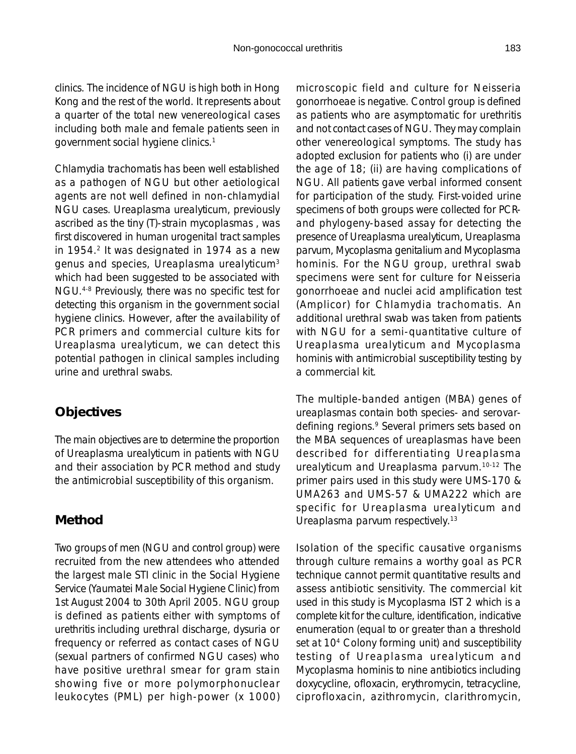clinics. The incidence of NGU is high both in Hong Kong and the rest of the world. It represents about a quarter of the total new venereological cases including both male and female patients seen in government social hygiene clinics.1

Chlamydia trachomatis has been well established as a pathogen of NGU but other aetiological agents are not well defined in non-chlamydial NGU cases. Ureaplasma urealyticum, previously ascribed as the tiny (T)-strain mycoplasmas , was first discovered in human urogenital tract samples in 1954.<sup>2</sup> It was designated in 1974 as a new genus and species, Ureaplasma urealyticum3 which had been suggested to be associated with NGU.4-8 Previously, there was no specific test for detecting this organism in the government social hygiene clinics. However, after the availability of PCR primers and commercial culture kits for Ureaplasma urealyticum, we can detect this potential pathogen in clinical samples including urine and urethral swabs.

## **Objectives**

The main objectives are to determine the proportion of Ureaplasma urealyticum in patients with NGU and their association by PCR method and study the antimicrobial susceptibility of this organism.

## **Method**

Two groups of men (NGU and control group) were recruited from the new attendees who attended the largest male STI clinic in the Social Hygiene Service (Yaumatei Male Social Hygiene Clinic) from 1st August 2004 to 30th April 2005. NGU group is defined as patients either with symptoms of urethritis including urethral discharge, dysuria or frequency or referred as contact cases of NGU (sexual partners of confirmed NGU cases) who have positive urethral smear for gram stain showing five or more polymorphonuclear leukocytes (PML) per high-power (x 1000) microscopic field and culture for Neisseria gonorrhoeae is negative. Control group is defined as patients who are asymptomatic for urethritis and not contact cases of NGU. They may complain other venereological symptoms. The study has adopted exclusion for patients who (i) are under the age of 18; (ii) are having complications of NGU. All patients gave verbal informed consent for participation of the study. First-voided urine specimens of both groups were collected for PCRand phylogeny-based assay for detecting the presence of Ureaplasma urealyticum, Ureaplasma parvum, Mycoplasma genitalium and Mycoplasma hominis. For the NGU group, urethral swab specimens were sent for culture for Neisseria gonorrhoeae and nuclei acid amplification test (Amplicor) for Chlamydia trachomatis. An additional urethral swab was taken from patients with NGU for a semi-quantitative culture of Ureaplasma urealyticum and Mycoplasma hominis with antimicrobial susceptibility testing by a commercial kit.

The multiple-banded antigen (MBA) genes of ureaplasmas contain both species- and serovardefining regions.9 Several primers sets based on the MBA sequences of ureaplasmas have been described for differentiating Ureaplasma urealyticum and Ureaplasma parvum.10-12 The primer pairs used in this study were UMS-170 & UMA263 and UMS-57 & UMA222 which are specific for Ureaplasma urealyticum and Ureaplasma parvum respectively.<sup>13</sup>

Isolation of the specific causative organisms through culture remains a worthy goal as PCR technique cannot permit quantitative results and assess antibiotic sensitivity. The commercial kit used in this study is Mycoplasma IST 2 which is a complete kit for the culture, identification, indicative enumeration (equal to or greater than a threshold set at 10<sup>4</sup> Colony forming unit) and susceptibility testing of Ureaplasma urealyticum and Mycoplasma hominis to nine antibiotics including doxycycline, ofloxacin, erythromycin, tetracycline, ciprofloxacin, azithromycin, clarithromycin,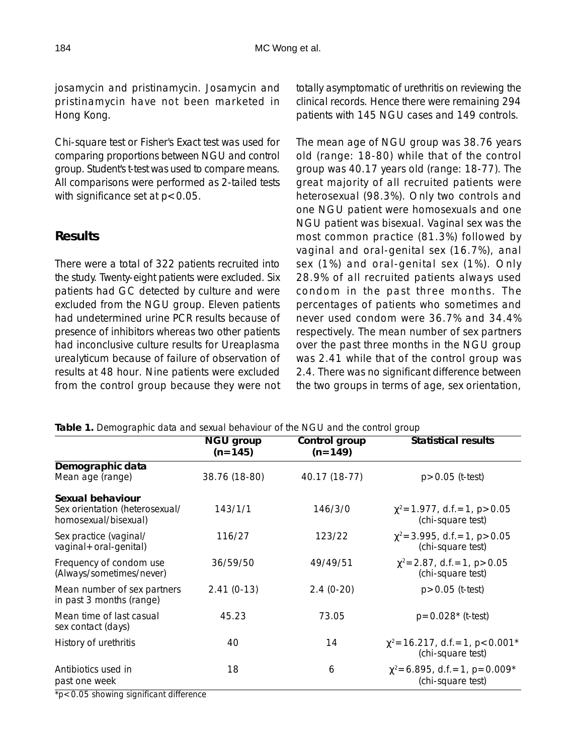josamycin and pristinamycin. Josamycin and pristinamycin have not been marketed in Hong Kong.

Chi-square test or Fisher's Exact test was used for comparing proportions between NGU and control group. Student's t-test was used to compare means. All comparisons were performed as 2-tailed tests with significance set at  $p < 0.05$ .

#### **Results**

There were a total of 322 patients recruited into the study. Twenty-eight patients were excluded. Six patients had GC detected by culture and were excluded from the NGU group. Eleven patients had undetermined urine PCR results because of presence of inhibitors whereas two other patients had inconclusive culture results for Ureaplasma urealyticum because of failure of observation of results at 48 hour. Nine patients were excluded from the control group because they were not totally asymptomatic of urethritis on reviewing the clinical records. Hence there were remaining 294 patients with 145 NGU cases and 149 controls.

The mean age of NGU group was 38.76 years old (range: 18-80) while that of the control group was 40.17 years old (range: 18-77). The great majority of all recruited patients were heterosexual (98.3%). Only two controls and one NGU patient were homosexuals and one NGU patient was bisexual. Vaginal sex was the most common practice (81.3%) followed by vaginal and oral-genital sex (16.7%), anal sex (1%) and oral-genital sex (1%). Only 28.9% of all recruited patients always used condom in the past three months. The percentages of patients who sometimes and never used condom were 36.7% and 34.4% respectively. The mean number of sex partners over the past three months in the NGU group was 2.41 while that of the control group was 2.4. There was no significant difference between the two groups in terms of age, sex orientation,

**Table 1.** Demographic data and sexual behaviour of the NGU and the control group

|                                                                            | NGU group<br>$(n=145)$ | Control group<br>$(n=149)$ | <b>Statistical results</b>                                               |
|----------------------------------------------------------------------------|------------------------|----------------------------|--------------------------------------------------------------------------|
| Demographic data<br>Mean age (range)                                       | 38.76 (18-80)          | 40.17 (18-77)              | $p > 0.05$ (t-test)                                                      |
| Sexual behaviour<br>Sex orientation (heterosexual/<br>homosexual/bisexual) | 143/1/1                | 146/3/0                    | $\chi^2$ = 1.977, d.f. = 1, p > 0.05<br>(chi-square test)                |
| Sex practice (vaginal/<br>vaginal + oral-genital)                          | 116/27                 | 123/22                     | $\chi^2$ = 3.995, d.f. = 1, p > 0.05<br>(chi-square test)                |
| Frequency of condom use<br>(Always/sometimes/never)                        | 36/59/50               | 49/49/51                   | $\chi^2$ = 2.87, d.f. = 1, p > 0.05<br>(chi-square test)                 |
| Mean number of sex partners<br>in past 3 months (range)                    | $2.41(0-13)$           | $2.4(0-20)$                | $p > 0.05$ (t-test)                                                      |
| Mean time of last casual<br>sex contact (days)                             | 45.23                  | 73.05                      | $p=0.028*$ (t-test)                                                      |
| History of urethritis                                                      | 40                     | 14                         | $\chi^2$ = 16.217, d.f. = 1, p < 0.001 <sup>*</sup><br>(chi-square test) |
| Antibiotics used in<br>past one week                                       | 18                     | 6                          | $\chi^2$ = 6.895, d.f. = 1, p = 0.009*<br>(chi-square test)              |

 $\overline{P}$  p<0.05 showing significant difference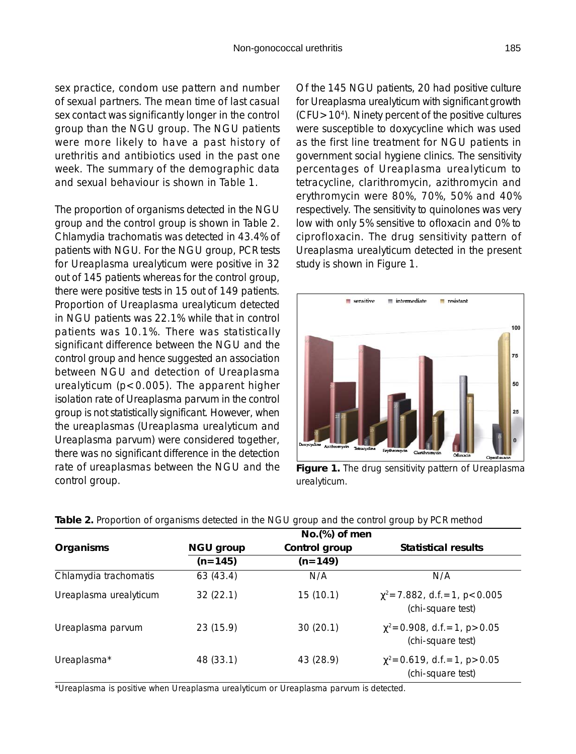sex practice, condom use pattern and number of sexual partners. The mean time of last casual sex contact was significantly longer in the control group than the NGU group. The NGU patients were more likely to have a past history of urethritis and antibiotics used in the past one week. The summary of the demographic data and sexual behaviour is shown in Table 1.

The proportion of organisms detected in the NGU group and the control group is shown in Table 2. Chlamydia trachomatis was detected in 43.4% of patients with NGU. For the NGU group, PCR tests for Ureaplasma urealyticum were positive in 32 out of 145 patients whereas for the control group, there were positive tests in 15 out of 149 patients. Proportion of Ureaplasma urealyticum detected in NGU patients was 22.1% while that in control patients was 10.1%. There was statistically significant difference between the NGU and the control group and hence suggested an association between NGU and detection of Ureaplasma urealyticum (p<0.005). The apparent higher isolation rate of Ureaplasma parvum in the control group is not statistically significant. However, when the ureaplasmas (Ureaplasma urealyticum and Ureaplasma parvum) were considered together, there was no significant difference in the detection rate of ureaplasmas between the NGU and the control group.

Of the 145 NGU patients, 20 had positive culture for Ureaplasma urealyticum with significant growth  $(CFU>10<sup>4</sup>)$ . Ninety percent of the positive cultures were susceptible to doxycycline which was used as the first line treatment for NGU patients in government social hygiene clinics. The sensitivity percentages of Ureaplasma urealyticum to tetracycline, clarithromycin, azithromycin and erythromycin were 80%, 70%, 50% and 40% respectively. The sensitivity to quinolones was very low with only 5% sensitive to ofloxacin and 0% to ciprofloxacin. The drug sensitivity pattern of Ureaplasma urealyticum detected in the present study is shown in Figure 1.



**Figure 1.** The drug sensitivity pattern of Ureaplasma urealyticum.

|                        |                        | No.(%) of men              |                                                            |
|------------------------|------------------------|----------------------------|------------------------------------------------------------|
| Organisms              | NGU group<br>$(n=145)$ | Control group<br>$(n=149)$ | <b>Statistical results</b>                                 |
|                        |                        |                            |                                                            |
| Ureaplasma urealyticum | 32(22.1)               | 15(10.1)                   | $\chi^2$ = 7.882, d.f. = 1, p < 0.005<br>(chi-square test) |
| Ureaplasma parvum      | 23(15.9)               | 30(20.1)                   | $\chi^2$ = 0.908, d.f. = 1, p > 0.05<br>(chi-square test)  |
| Ureaplasma*            | 48 (33.1)              | 43 (28.9)                  | $\chi^2$ = 0.619, d.f. = 1, p > 0.05<br>(chi-square test)  |

**Table 2.** Proportion of organisms detected in the NGU group and the control group by PCR method

\*Ureaplasma is positive when Ureaplasma urealyticum or Ureaplasma parvum is detected.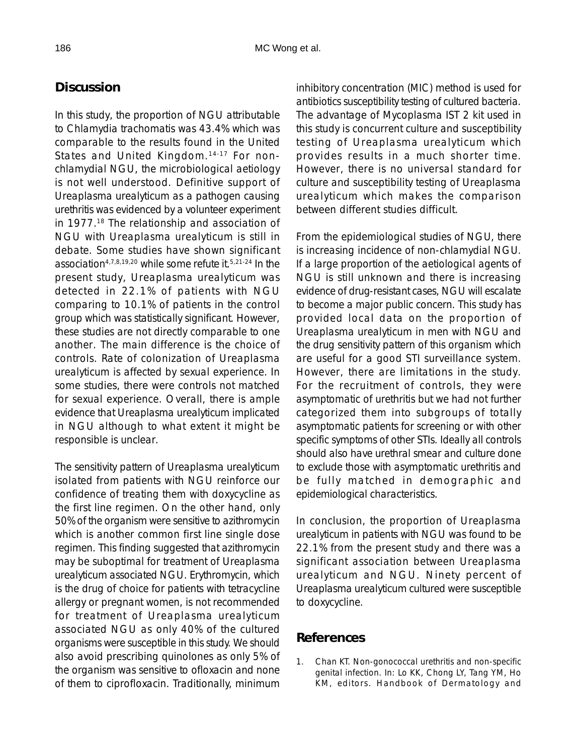### **Discussion**

In this study, the proportion of NGU attributable to Chlamydia trachomatis was 43.4% which was comparable to the results found in the United States and United Kingdom.<sup>14-17</sup> For nonchlamydial NGU, the microbiological aetiology is not well understood. Definitive support of Ureaplasma urealyticum as a pathogen causing urethritis was evidenced by a volunteer experiment in 1977.18 The relationship and association of NGU with Ureaplasma urealyticum is still in debate. Some studies have shown significant association4,7,8,19,20 while some refute it.5,21-24 In the present study, Ureaplasma urealyticum was detected in 22.1% of patients with NGU comparing to 10.1% of patients in the control group which was statistically significant. However, these studies are not directly comparable to one another. The main difference is the choice of controls. Rate of colonization of Ureaplasma urealyticum is affected by sexual experience. In some studies, there were controls not matched for sexual experience. Overall, there is ample evidence that Ureaplasma urealyticum implicated in NGU although to what extent it might be responsible is unclear.

The sensitivity pattern of Ureaplasma urealyticum isolated from patients with NGU reinforce our confidence of treating them with doxycycline as the first line regimen. On the other hand, only 50% of the organism were sensitive to azithromycin which is another common first line single dose regimen. This finding suggested that azithromycin may be suboptimal for treatment of Ureaplasma urealyticum associated NGU. Erythromycin, which is the drug of choice for patients with tetracycline allergy or pregnant women, is not recommended for treatment of Ureaplasma urealyticum associated NGU as only 40% of the cultured organisms were susceptible in this study. We should also avoid prescribing quinolones as only 5% of the organism was sensitive to ofloxacin and none of them to ciprofloxacin. Traditionally, minimum

inhibitory concentration (MIC) method is used for antibiotics susceptibility testing of cultured bacteria. The advantage of Mycoplasma IST 2 kit used in this study is concurrent culture and susceptibility testing of Ureaplasma urealyticum which provides results in a much shorter time. However, there is no universal standard for culture and susceptibility testing of Ureaplasma urealyticum which makes the comparison between different studies difficult.

From the epidemiological studies of NGU, there is increasing incidence of non-chlamydial NGU. If a large proportion of the aetiological agents of NGU is still unknown and there is increasing evidence of drug-resistant cases, NGU will escalate to become a major public concern. This study has provided local data on the proportion of Ureaplasma urealyticum in men with NGU and the drug sensitivity pattern of this organism which are useful for a good STI surveillance system. However, there are limitations in the study. For the recruitment of controls, they were asymptomatic of urethritis but we had not further categorized them into subgroups of totally asymptomatic patients for screening or with other specific symptoms of other STIs. Ideally all controls should also have urethral smear and culture done to exclude those with asymptomatic urethritis and be fully matched in demographic and epidemiological characteristics.

In conclusion, the proportion of Ureaplasma urealyticum in patients with NGU was found to be 22.1% from the present study and there was a significant association between Ureaplasma urealyticum and NGU. Ninety percent of Ureaplasma urealyticum cultured were susceptible to doxycycline.

### **References**

1. Chan KT. Non-gonococcal urethritis and non-specific genital infection. In: Lo KK, Chong LY, Tang YM, Ho KM, editors. Handbook of Dermatology and